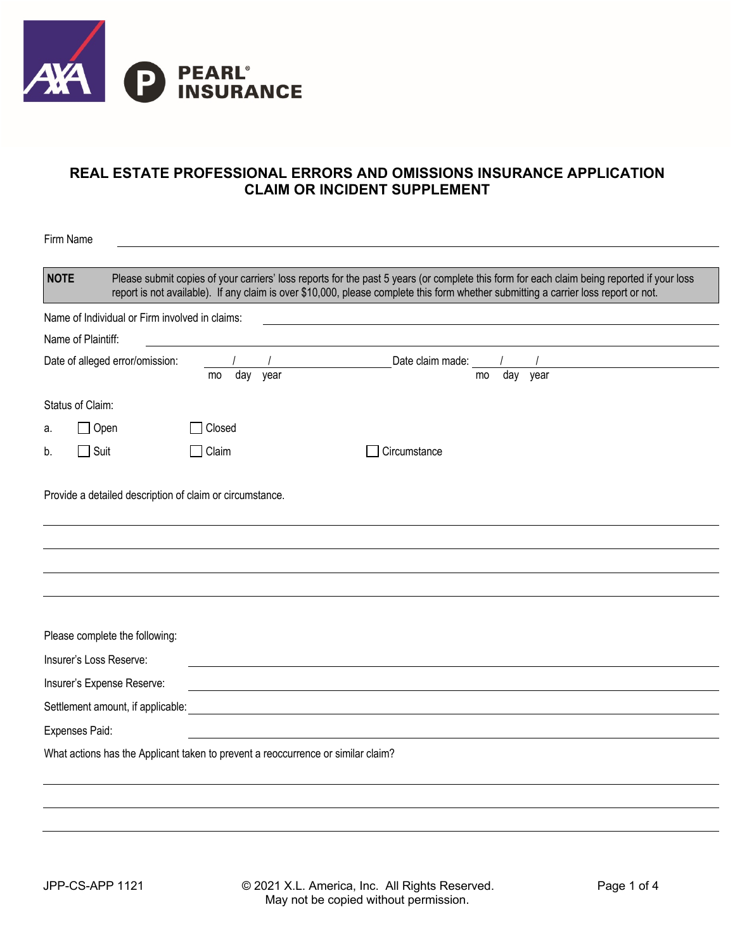

## **REAL ESTATE PROFESSIONAL ERRORS AND OMISSIONS INSURANCE APPLICATION CLAIM OR INCIDENT SUPPLEMENT**

| <b>NOTE</b>          |                                                                         |              | Please submit copies of your carriers' loss reports for the past 5 years (or complete this form for each claim being reported if your loss<br>report is not available). If any claim is over \$10,000, please complete this form whether submitting a carrier loss report or not. |
|----------------------|-------------------------------------------------------------------------|--------------|-----------------------------------------------------------------------------------------------------------------------------------------------------------------------------------------------------------------------------------------------------------------------------------|
|                      | Name of Individual or Firm involved in claims:                          |              |                                                                                                                                                                                                                                                                                   |
| Name of Plaintiff:   |                                                                         |              |                                                                                                                                                                                                                                                                                   |
|                      | Date of alleged error/omission:                                         | day<br>mo    | Date claim made:<br>$\overline{day}$ year<br>year<br>mo                                                                                                                                                                                                                           |
| Status of Claim:     |                                                                         |              |                                                                                                                                                                                                                                                                                   |
| a.                   | $\Box$ Open                                                             | Closed       |                                                                                                                                                                                                                                                                                   |
|                      |                                                                         |              |                                                                                                                                                                                                                                                                                   |
|                      | $\Box$ Suit<br>Provide a detailed description of claim or circumstance. | $\Box$ Claim | Circumstance                                                                                                                                                                                                                                                                      |
|                      |                                                                         |              |                                                                                                                                                                                                                                                                                   |
|                      | Please complete the following:                                          |              |                                                                                                                                                                                                                                                                                   |
|                      | Insurer's Loss Reserve:                                                 |              |                                                                                                                                                                                                                                                                                   |
|                      | Insurer's Expense Reserve:                                              |              |                                                                                                                                                                                                                                                                                   |
|                      | Settlement amount, if applicable:                                       |              |                                                                                                                                                                                                                                                                                   |
| b.<br>Expenses Paid: |                                                                         |              |                                                                                                                                                                                                                                                                                   |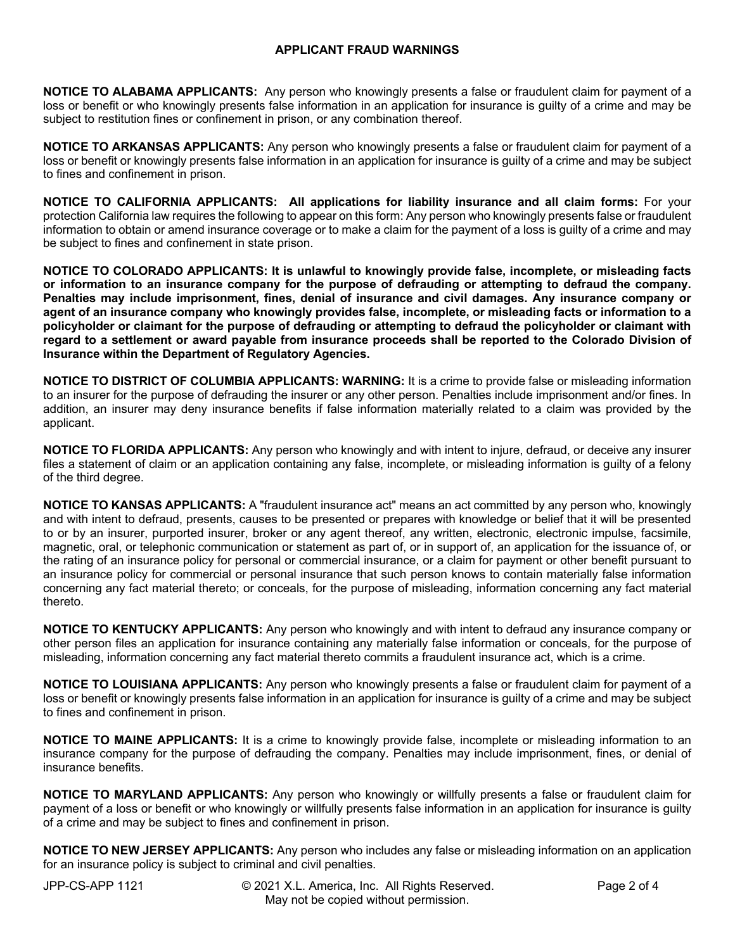## **APPLICANT FRAUD WARNINGS**

**NOTICE TO ALABAMA APPLICANTS:** Any person who knowingly presents a false or fraudulent claim for payment of a loss or benefit or who knowingly presents false information in an application for insurance is guilty of a crime and may be subject to restitution fines or confinement in prison, or any combination thereof.

**NOTICE TO ARKANSAS APPLICANTS:** Any person who knowingly presents a false or fraudulent claim for payment of a loss or benefit or knowingly presents false information in an application for insurance is guilty of a crime and may be subject to fines and confinement in prison.

**NOTICE TO CALIFORNIA APPLICANTS: All applications for liability insurance and all claim forms:** For your protection California law requires the following to appear on this form: Any person who knowingly presents false or fraudulent information to obtain or amend insurance coverage or to make a claim for the payment of a loss is guilty of a crime and may be subject to fines and confinement in state prison.

**NOTICE TO COLORADO APPLICANTS: It is unlawful to knowingly provide false, incomplete, or misleading facts or information to an insurance company for the purpose of defrauding or attempting to defraud the company. Penalties may include imprisonment, fines, denial of insurance and civil damages. Any insurance company or agent of an insurance company who knowingly provides false, incomplete, or misleading facts or information to a policyholder or claimant for the purpose of defrauding or attempting to defraud the policyholder or claimant with regard to a settlement or award payable from insurance proceeds shall be reported to the Colorado Division of Insurance within the Department of Regulatory Agencies.**

**NOTICE TO DISTRICT OF COLUMBIA APPLICANTS: WARNING:** It is a crime to provide false or misleading information to an insurer for the purpose of defrauding the insurer or any other person. Penalties include imprisonment and/or fines. In addition, an insurer may deny insurance benefits if false information materially related to a claim was provided by the applicant.

**NOTICE TO FLORIDA APPLICANTS:** Any person who knowingly and with intent to injure, defraud, or deceive any insurer files a statement of claim or an application containing any false, incomplete, or misleading information is guilty of a felony of the third degree.

**NOTICE TO KANSAS APPLICANTS:** A "fraudulent insurance act" means an act committed by any person who, knowingly and with intent to defraud, presents, causes to be presented or prepares with knowledge or belief that it will be presented to or by an insurer, purported insurer, broker or any agent thereof, any written, electronic, electronic impulse, facsimile, magnetic, oral, or telephonic communication or statement as part of, or in support of, an application for the issuance of, or the rating of an insurance policy for personal or commercial insurance, or a claim for payment or other benefit pursuant to an insurance policy for commercial or personal insurance that such person knows to contain materially false information concerning any fact material thereto; or conceals, for the purpose of misleading, information concerning any fact material thereto.

**NOTICE TO KENTUCKY APPLICANTS:** Any person who knowingly and with intent to defraud any insurance company or other person files an application for insurance containing any materially false information or conceals, for the purpose of misleading, information concerning any fact material thereto commits a fraudulent insurance act, which is a crime.

**NOTICE TO LOUISIANA APPLICANTS:** Any person who knowingly presents a false or fraudulent claim for payment of a loss or benefit or knowingly presents false information in an application for insurance is guilty of a crime and may be subject to fines and confinement in prison.

**NOTICE TO MAINE APPLICANTS:** It is a crime to knowingly provide false, incomplete or misleading information to an insurance company for the purpose of defrauding the company. Penalties may include imprisonment, fines, or denial of insurance benefits.

**NOTICE TO MARYLAND APPLICANTS:** Any person who knowingly or willfully presents a false or fraudulent claim for payment of a loss or benefit or who knowingly or willfully presents false information in an application for insurance is guilty of a crime and may be subject to fines and confinement in prison.

**NOTICE TO NEW JERSEY APPLICANTS:** Any person who includes any false or misleading information on an application for an insurance policy is subject to criminal and civil penalties.

JPP-CS-APP 1121 © 2021 X.L. America, Inc. All Rights Reserved. Page 2 of 4 May not be copied without permission.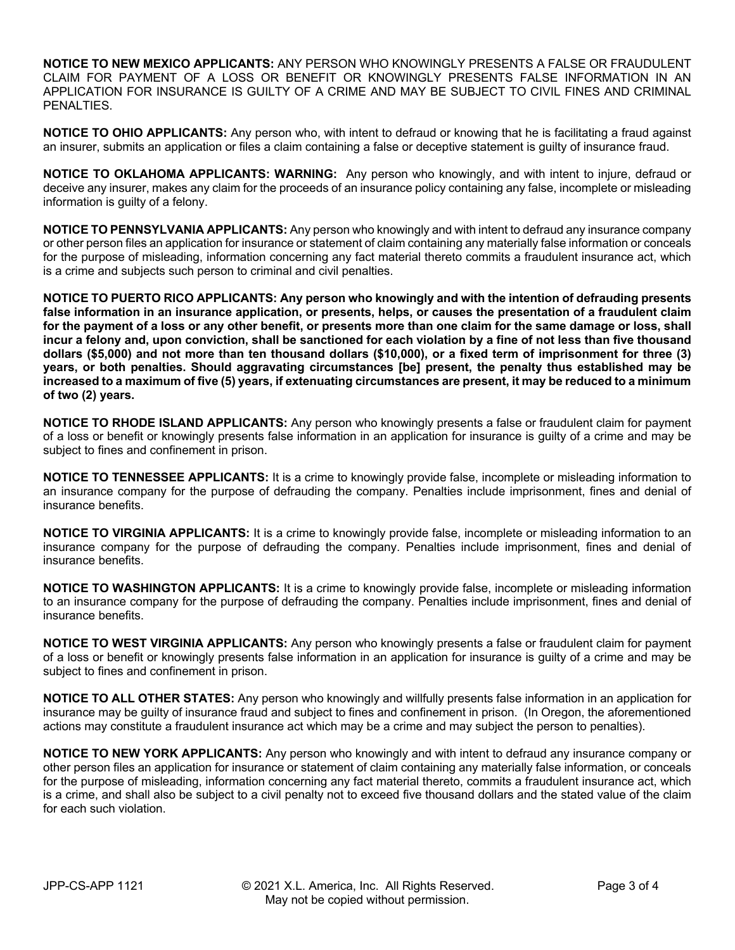**NOTICE TO NEW MEXICO APPLICANTS:** ANY PERSON WHO KNOWINGLY PRESENTS A FALSE OR FRAUDULENT CLAIM FOR PAYMENT OF A LOSS OR BENEFIT OR KNOWINGLY PRESENTS FALSE INFORMATION IN AN APPLICATION FOR INSURANCE IS GUILTY OF A CRIME AND MAY BE SUBJECT TO CIVIL FINES AND CRIMINAL PENALTIES.

**NOTICE TO OHIO APPLICANTS:** Any person who, with intent to defraud or knowing that he is facilitating a fraud against an insurer, submits an application or files a claim containing a false or deceptive statement is guilty of insurance fraud.

**NOTICE TO OKLAHOMA APPLICANTS: WARNING:** Any person who knowingly, and with intent to injure, defraud or deceive any insurer, makes any claim for the proceeds of an insurance policy containing any false, incomplete or misleading information is guilty of a felony.

**NOTICE TO PENNSYLVANIA APPLICANTS:** Any person who knowingly and with intent to defraud any insurance company or other person files an application for insurance or statement of claim containing any materially false information or conceals for the purpose of misleading, information concerning any fact material thereto commits a fraudulent insurance act, which is a crime and subjects such person to criminal and civil penalties.

**NOTICE TO PUERTO RICO APPLICANTS: Any person who knowingly and with the intention of defrauding presents false information in an insurance application, or presents, helps, or causes the presentation of a fraudulent claim for the payment of a loss or any other benefit, or presents more than one claim for the same damage or loss, shall incur a felony and, upon conviction, shall be sanctioned for each violation by a fine of not less than five thousand dollars (\$5,000) and not more than ten thousand dollars (\$10,000), or a fixed term of imprisonment for three (3) years, or both penalties. Should aggravating circumstances [be] present, the penalty thus established may be increased to a maximum of five (5) years, if extenuating circumstances are present, it may be reduced to a minimum of two (2) years.**

**NOTICE TO RHODE ISLAND APPLICANTS:** Any person who knowingly presents a false or fraudulent claim for payment of a loss or benefit or knowingly presents false information in an application for insurance is guilty of a crime and may be subject to fines and confinement in prison.

**NOTICE TO TENNESSEE APPLICANTS:** It is a crime to knowingly provide false, incomplete or misleading information to an insurance company for the purpose of defrauding the company. Penalties include imprisonment, fines and denial of insurance benefits.

**NOTICE TO VIRGINIA APPLICANTS:** It is a crime to knowingly provide false, incomplete or misleading information to an insurance company for the purpose of defrauding the company. Penalties include imprisonment, fines and denial of insurance benefits.

**NOTICE TO WASHINGTON APPLICANTS:** It is a crime to knowingly provide false, incomplete or misleading information to an insurance company for the purpose of defrauding the company. Penalties include imprisonment, fines and denial of insurance benefits.

**NOTICE TO WEST VIRGINIA APPLICANTS:** Any person who knowingly presents a false or fraudulent claim for payment of a loss or benefit or knowingly presents false information in an application for insurance is guilty of a crime and may be subject to fines and confinement in prison.

**NOTICE TO ALL OTHER STATES:** Any person who knowingly and willfully presents false information in an application for insurance may be guilty of insurance fraud and subject to fines and confinement in prison. (In Oregon, the aforementioned actions may constitute a fraudulent insurance act which may be a crime and may subject the person to penalties).

**NOTICE TO NEW YORK APPLICANTS:** Any person who knowingly and with intent to defraud any insurance company or other person files an application for insurance or statement of claim containing any materially false information, or conceals for the purpose of misleading, information concerning any fact material thereto, commits a fraudulent insurance act, which is a crime, and shall also be subject to a civil penalty not to exceed five thousand dollars and the stated value of the claim for each such violation.